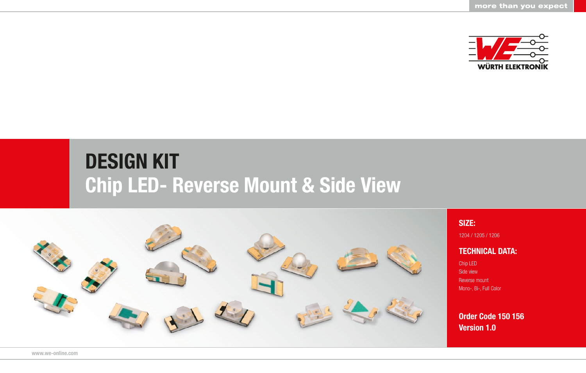

## DESIGN KIT Chip LED- Reverse Mount & Side View



SIZE:

1204 / 1205 / 1206

## TECHNICAL DATA:

Chip LED Side view Reverse mount Mono-, Bi-, Full Color

Order Code 150 156 Version 1.0